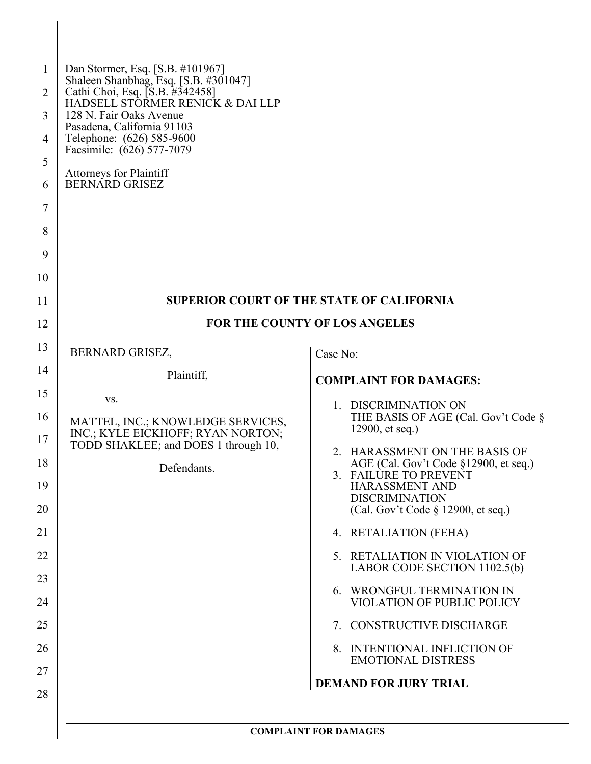| 1<br>2<br>3<br>4<br>5<br>6<br>7<br>8<br>9<br>10 | Dan Stormer, Esq. [S.B. #101967]<br>Shaleen Shanbhag, Esq. [S.B. #301047]<br>Cathi Choi, Esq. [S.B. #342458]<br>HADSELL STORMER RENICK & DAI LLP<br>128 N. Fair Oaks Avenue<br>Pasadena, California 91103<br>Telephone: (626) 585-9600<br>Facsimile: (626) 577-7079<br><b>Attorneys for Plaintiff</b><br><b>BERNARD GRISEZ</b> |                                                                        |  |
|-------------------------------------------------|--------------------------------------------------------------------------------------------------------------------------------------------------------------------------------------------------------------------------------------------------------------------------------------------------------------------------------|------------------------------------------------------------------------|--|
| 11                                              |                                                                                                                                                                                                                                                                                                                                | <b>SUPERIOR COURT OF THE STATE OF CALIFORNIA</b>                       |  |
| 12                                              | FOR THE COUNTY OF LOS ANGELES                                                                                                                                                                                                                                                                                                  |                                                                        |  |
| 13                                              | <b>BERNARD GRISEZ,</b>                                                                                                                                                                                                                                                                                                         | Case No:                                                               |  |
| 14                                              | Plaintiff,                                                                                                                                                                                                                                                                                                                     | <b>COMPLAINT FOR DAMAGES:</b>                                          |  |
| 15                                              | VS.                                                                                                                                                                                                                                                                                                                            | 1. DISCRIMINATION ON                                                   |  |
| 16<br>17                                        | MATTEL, INC.; KNOWLEDGE SERVICES,<br>INC.; KYLE EICKHOFF; RYAN NORTON;                                                                                                                                                                                                                                                         | THE BASIS OF AGE (Cal. Gov't Code §<br>12900, et seq.)                 |  |
| 18                                              | TODD SHAKLEE; and DOES 1 through 10,                                                                                                                                                                                                                                                                                           | 2. HARASSMENT ON THE BASIS OF<br>AGE (Cal. Gov't Code §12900, et seq.) |  |
| 19                                              | Defendants.                                                                                                                                                                                                                                                                                                                    | 3. FAILURE TO PREVENT<br><b>HARASSMENT AND</b>                         |  |
| 20                                              |                                                                                                                                                                                                                                                                                                                                | <b>DISCRIMINATION</b><br>(Cal. Gov't Code § 12900, et seq.)            |  |
| 21                                              |                                                                                                                                                                                                                                                                                                                                | 4. RETALIATION (FEHA)                                                  |  |
| 22                                              |                                                                                                                                                                                                                                                                                                                                | 5. RETALIATION IN VIOLATION OF<br>LABOR CODE SECTION 1102.5(b)         |  |
| 23                                              |                                                                                                                                                                                                                                                                                                                                | 6. WRONGFUL TERMINATION IN                                             |  |
| 24                                              |                                                                                                                                                                                                                                                                                                                                | VIOLATION OF PUBLIC POLICY                                             |  |
| 25                                              |                                                                                                                                                                                                                                                                                                                                | 7. CONSTRUCTIVE DISCHARGE                                              |  |
| 26                                              |                                                                                                                                                                                                                                                                                                                                | 8. INTENTIONAL INFLICTION OF<br><b>EMOTIONAL DISTRESS</b>              |  |
| 27                                              |                                                                                                                                                                                                                                                                                                                                | <b>DEMAND FOR JURY TRIAL</b>                                           |  |
| 28                                              |                                                                                                                                                                                                                                                                                                                                | <b>COMPLAINT FOR DAMAGES</b>                                           |  |

 $\parallel$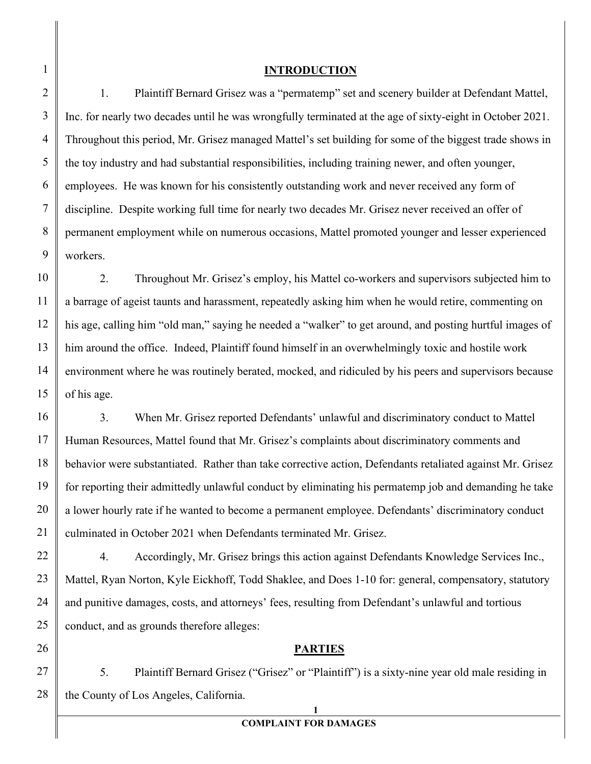#### **INTRODUCTION**

1. Plaintiff Bernard Grisez was a "permatemp" set and scenery builder at Defendant Mattel, Inc. for nearly two decades until he was wrongfully terminated at the age of sixty-eight in October 2021. Throughout this period, Mr. Grisez managed Mattel's set building for some of the biggest trade shows in the toy industry and had substantial responsibilities, including training newer, and often younger, employees. He was known for his consistently outstanding work and never received any form of discipline. Despite working full time for nearly two decades Mr. Grisez never received an offer of permanent employment while on numerous occasions, Mattel promoted younger and lesser experienced workers.

2. Throughout Mr. Grisez's employ, his Mattel co-workers and supervisors subjected him to a barrage of ageist taunts and harassment, repeatedly asking him when he would retire, commenting on his age, calling him "old man," saying he needed a "walker" to get around, and posting hurtful images of him around the office. Indeed, Plaintiff found himself in an overwhelmingly toxic and hostile work environment where he was routinely berated, mocked, and ridiculed by his peers and supervisors because of his age.

3. When Mr. Grisez reported Defendants' unlawful and discriminatory conduct to Mattel Human Resources, Mattel found that Mr. Grisez's complaints about discriminatory comments and behavior were substantiated. Rather than take corrective action, Defendants retaliated against Mr. Grisez for reporting their admittedly unlawful conduct by eliminating his permatemp job and demanding he take a lower hourly rate if he wanted to become a permanent employee. Defendants' discriminatory conduct culminated in October 2021 when Defendants terminated Mr. Grisez.

4. Accordingly, Mr. Grisez brings this action against Defendants Knowledge Services Inc., Mattel, Ryan Norton, Kyle Eickhoff, Todd Shaklee, and Does 1-10 for: general, compensatory, statutory and punitive damages, costs, and attorneys' fees, resulting from Defendant's unlawful and tortious conduct, and as grounds therefore alleges:

#### **PARTIES**

5. Plaintiff Bernard Grisez ("Grisez" or "Plaintiff") is a sixty-nine year old male residing in the County of Los Angeles, California.

#### **COMPLAINT FOR DAMAGES**

**1**

1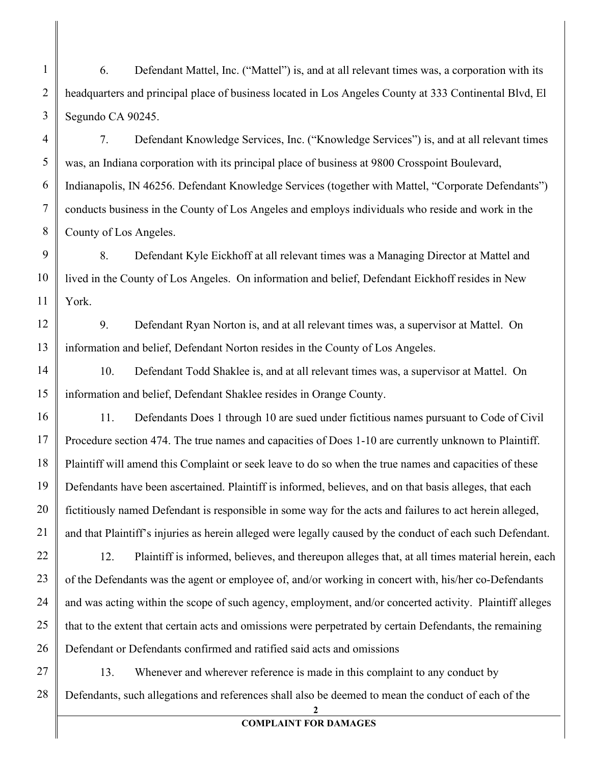6. Defendant Mattel, Inc. ("Mattel") is, and at all relevant times was, a corporation with its headquarters and principal place of business located in Los Angeles County at 333 Continental Blvd, El Segundo CA 90245.

7. Defendant Knowledge Services, Inc. ("Knowledge Services") is, and at all relevant times was, an Indiana corporation with its principal place of business at 9800 Crosspoint Boulevard, Indianapolis, IN 46256. Defendant Knowledge Services (together with Mattel, "Corporate Defendants") conducts business in the County of Los Angeles and employs individuals who reside and work in the County of Los Angeles.

8. Defendant Kyle Eickhoff at all relevant times was a Managing Director at Mattel and lived in the County of Los Angeles. On information and belief, Defendant Eickhoff resides in New York.

9. Defendant Ryan Norton is, and at all relevant times was, a supervisor at Mattel. On information and belief, Defendant Norton resides in the County of Los Angeles.

10. Defendant Todd Shaklee is, and at all relevant times was, a supervisor at Mattel. On information and belief, Defendant Shaklee resides in Orange County.

11. Defendants Does 1 through 10 are sued under fictitious names pursuant to Code of Civil Procedure section 474. The true names and capacities of Does 1-10 are currently unknown to Plaintiff. Plaintiff will amend this Complaint or seek leave to do so when the true names and capacities of these Defendants have been ascertained. Plaintiff is informed, believes, and on that basis alleges, that each fictitiously named Defendant is responsible in some way for the acts and failures to act herein alleged, and that Plaintiff's injuries as herein alleged were legally caused by the conduct of each such Defendant.

12. Plaintiff is informed, believes, and thereupon alleges that, at all times material herein, each of the Defendants was the agent or employee of, and/or working in concert with, his/her co-Defendants and was acting within the scope of such agency, employment, and/or concerted activity. Plaintiff alleges that to the extent that certain acts and omissions were perpetrated by certain Defendants, the remaining Defendant or Defendants confirmed and ratified said acts and omissions

13. Whenever and wherever reference is made in this complaint to any conduct by Defendants, such allegations and references shall also be deemed to mean the conduct of each of the

**2**

## **COMPLAINT FOR DAMAGES**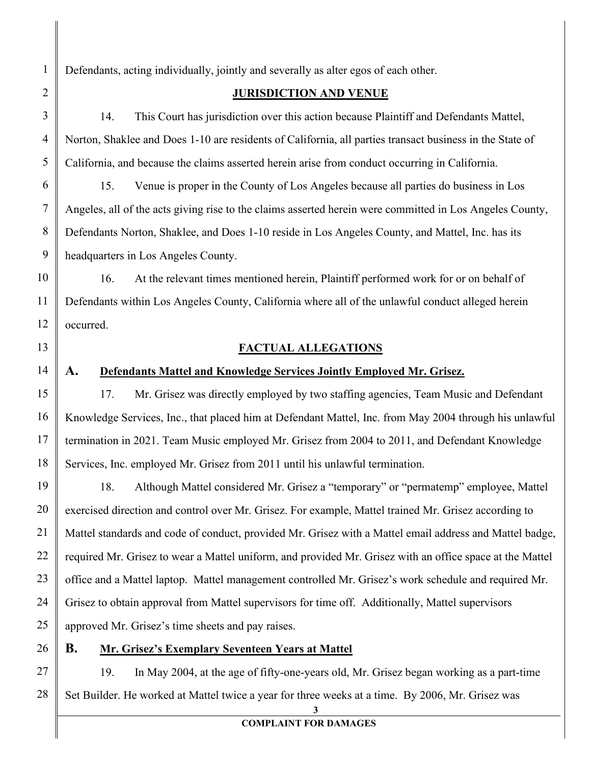Defendants, acting individually, jointly and severally as alter egos of each other.

## **JURISDICTION AND VENUE**

14. This Court has jurisdiction over this action because Plaintiff and Defendants Mattel, Norton, Shaklee and Does 1-10 are residents of California, all parties transact business in the State of California, and because the claims asserted herein arise from conduct occurring in California.

15. Venue is proper in the County of Los Angeles because all parties do business in Los Angeles, all of the acts giving rise to the claims asserted herein were committed in Los Angeles County, Defendants Norton, Shaklee, and Does 1-10 reside in Los Angeles County, and Mattel, Inc. has its headquarters in Los Angeles County.

16. At the relevant times mentioned herein, Plaintiff performed work for or on behalf of Defendants within Los Angeles County, California where all of the unlawful conduct alleged herein occurred.

## **FACTUAL ALLEGATIONS**

## **A. Defendants Mattel and Knowledge Services Jointly Employed Mr. Grisez.**

17. Mr. Grisez was directly employed by two staffing agencies, Team Music and Defendant Knowledge Services, Inc., that placed him at Defendant Mattel, Inc. from May 2004 through his unlawful termination in 2021. Team Music employed Mr. Grisez from 2004 to 2011, and Defendant Knowledge Services, Inc. employed Mr. Grisez from 2011 until his unlawful termination.

18. Although Mattel considered Mr. Grisez a "temporary" or "permatemp" employee, Mattel exercised direction and control over Mr. Grisez. For example, Mattel trained Mr. Grisez according to Mattel standards and code of conduct, provided Mr. Grisez with a Mattel email address and Mattel badge, required Mr. Grisez to wear a Mattel uniform, and provided Mr. Grisez with an office space at the Mattel office and a Mattel laptop. Mattel management controlled Mr. Grisez's work schedule and required Mr. Grisez to obtain approval from Mattel supervisors for time off. Additionally, Mattel supervisors approved Mr. Grisez's time sheets and pay raises.

## **B. Mr. Grisez's Exemplary Seventeen Years at Mattel**

19. In May 2004, at the age of fifty-one-years old, Mr. Grisez began working as a part-time Set Builder. He worked at Mattel twice a year for three weeks at a time. By 2006, Mr. Grisez was

**3**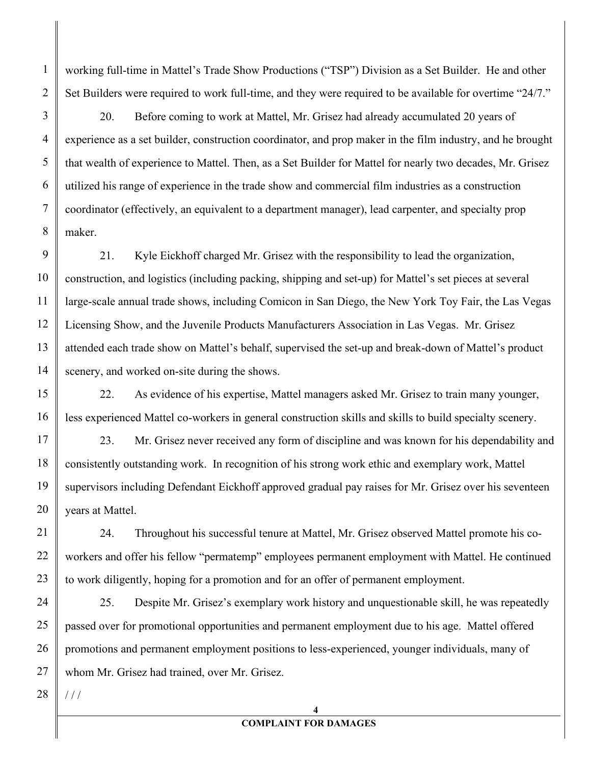working full-time in Mattel's Trade Show Productions ("TSP") Division as a Set Builder. He and other Set Builders were required to work full-time, and they were required to be available for overtime "24/7."

20. Before coming to work at Mattel, Mr. Grisez had already accumulated 20 years of experience as a set builder, construction coordinator, and prop maker in the film industry, and he brought that wealth of experience to Mattel. Then, as a Set Builder for Mattel for nearly two decades, Mr. Grisez utilized his range of experience in the trade show and commercial film industries as a construction coordinator (effectively, an equivalent to a department manager), lead carpenter, and specialty prop maker.

9 10 11 12 13 14 21. Kyle Eickhoff charged Mr. Grisez with the responsibility to lead the organization, construction, and logistics (including packing, shipping and set-up) for Mattel's set pieces at several large-scale annual trade shows, including Comicon in San Diego, the New York Toy Fair, the Las Vegas Licensing Show, and the Juvenile Products Manufacturers Association in Las Vegas. Mr. Grisez attended each trade show on Mattel's behalf, supervised the set-up and break-down of Mattel's product scenery, and worked on-site during the shows.

15 16 22. As evidence of his expertise, Mattel managers asked Mr. Grisez to train many younger, less experienced Mattel co-workers in general construction skills and skills to build specialty scenery.

19 23. Mr. Grisez never received any form of discipline and was known for his dependability and consistently outstanding work. In recognition of his strong work ethic and exemplary work, Mattel supervisors including Defendant Eickhoff approved gradual pay raises for Mr. Grisez over his seventeen years at Mattel.

24. Throughout his successful tenure at Mattel, Mr. Grisez observed Mattel promote his coworkers and offer his fellow "permatemp" employees permanent employment with Mattel. He continued to work diligently, hoping for a promotion and for an offer of permanent employment.

24 25 26 27 25. Despite Mr. Grisez's exemplary work history and unquestionable skill, he was repeatedly passed over for promotional opportunities and permanent employment due to his age. Mattel offered promotions and permanent employment positions to less-experienced, younger individuals, many of whom Mr. Grisez had trained, over Mr. Grisez.

28  $1/1$ 

1

2

3

4

5

6

7

8

17

18

20

21

22

23

## **COMPLAINT FOR DAMAGES**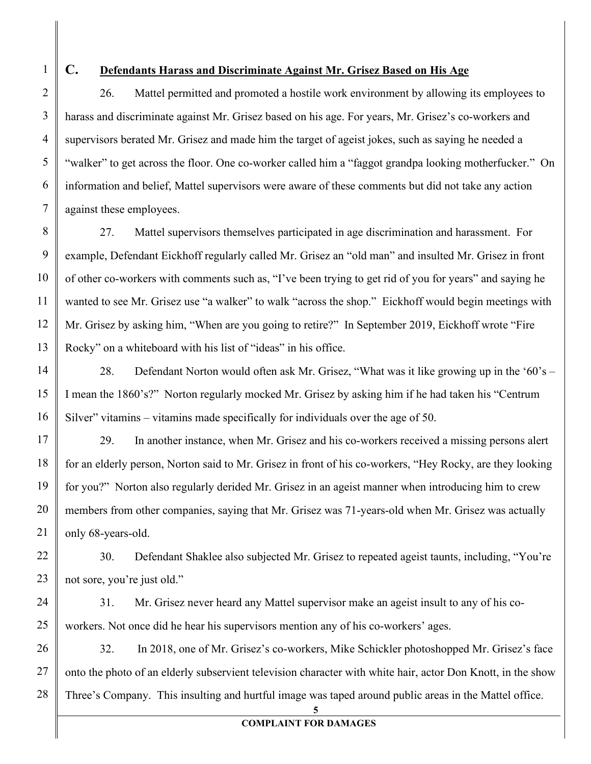1

2

3

4

5

6

7

## **C. Defendants Harass and Discriminate Against Mr. Grisez Based on His Age**

26. Mattel permitted and promoted a hostile work environment by allowing its employees to harass and discriminate against Mr. Grisez based on his age. For years, Mr. Grisez's co-workers and supervisors berated Mr. Grisez and made him the target of ageist jokes, such as saying he needed a "walker" to get across the floor. One co-worker called him a "faggot grandpa looking motherfucker." On information and belief, Mattel supervisors were aware of these comments but did not take any action against these employees.

8 9 10 11 12 13 27. Mattel supervisors themselves participated in age discrimination and harassment. For example, Defendant Eickhoff regularly called Mr. Grisez an "old man" and insulted Mr. Grisez in front of other co-workers with comments such as, "I've been trying to get rid of you for years" and saying he wanted to see Mr. Grisez use "a walker" to walk "across the shop." Eickhoff would begin meetings with Mr. Grisez by asking him, "When are you going to retire?" In September 2019, Eickhoff wrote "Fire Rocky" on a whiteboard with his list of "ideas" in his office.

14 15 16 28. Defendant Norton would often ask Mr. Grisez, "What was it like growing up in the '60's – I mean the 1860's?" Norton regularly mocked Mr. Grisez by asking him if he had taken his "Centrum Silver" vitamins – vitamins made specifically for individuals over the age of 50.

17 18 19 20 21 29. In another instance, when Mr. Grisez and his co-workers received a missing persons alert for an elderly person, Norton said to Mr. Grisez in front of his co-workers, "Hey Rocky, are they looking for you?" Norton also regularly derided Mr. Grisez in an ageist manner when introducing him to crew members from other companies, saying that Mr. Grisez was 71-years-old when Mr. Grisez was actually only 68-years-old.

22 23 30. Defendant Shaklee also subjected Mr. Grisez to repeated ageist taunts, including, "You're not sore, you're just old."

24 25 31. Mr. Grisez never heard any Mattel supervisor make an ageist insult to any of his coworkers. Not once did he hear his supervisors mention any of his co-workers' ages.

26 27 28 32. In 2018, one of Mr. Grisez's co-workers, Mike Schickler photoshopped Mr. Grisez's face onto the photo of an elderly subservient television character with white hair, actor Don Knott, in the show Three's Company. This insulting and hurtful image was taped around public areas in the Mattel office.

**5**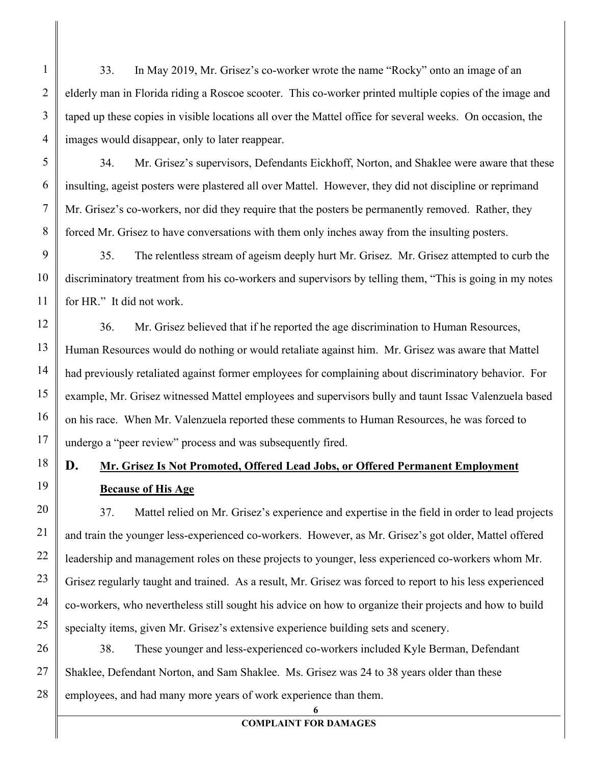33. In May 2019, Mr. Grisez's co-worker wrote the name "Rocky" onto an image of an elderly man in Florida riding a Roscoe scooter. This co-worker printed multiple copies of the image and taped up these copies in visible locations all over the Mattel office for several weeks. On occasion, the images would disappear, only to later reappear.

1

2

3

4

5

6

7

8

9

10

11

12

13

14

15

16

17

18

19

34. Mr. Grisez's supervisors, Defendants Eickhoff, Norton, and Shaklee were aware that these insulting, ageist posters were plastered all over Mattel. However, they did not discipline or reprimand Mr. Grisez's co-workers, nor did they require that the posters be permanently removed. Rather, they forced Mr. Grisez to have conversations with them only inches away from the insulting posters.

35. The relentless stream of ageism deeply hurt Mr. Grisez. Mr. Grisez attempted to curb the discriminatory treatment from his co-workers and supervisors by telling them, "This is going in my notes for HR." It did not work.

36. Mr. Grisez believed that if he reported the age discrimination to Human Resources, Human Resources would do nothing or would retaliate against him. Mr. Grisez was aware that Mattel had previously retaliated against former employees for complaining about discriminatory behavior. For example, Mr. Grisez witnessed Mattel employees and supervisors bully and taunt Issac Valenzuela based on his race. When Mr. Valenzuela reported these comments to Human Resources, he was forced to undergo a "peer review" process and was subsequently fired.

# **D. Mr. Grisez Is Not Promoted, Offered Lead Jobs, or Offered Permanent Employment Because of His Age**

20 21 22 23 24 25 37. Mattel relied on Mr. Grisez's experience and expertise in the field in order to lead projects and train the younger less-experienced co-workers. However, as Mr. Grisez's got older, Mattel offered leadership and management roles on these projects to younger, less experienced co-workers whom Mr. Grisez regularly taught and trained. As a result, Mr. Grisez was forced to report to his less experienced co-workers, who nevertheless still sought his advice on how to organize their projects and how to build specialty items, given Mr. Grisez's extensive experience building sets and scenery.

26 27 28 38. These younger and less-experienced co-workers included Kyle Berman, Defendant Shaklee, Defendant Norton, and Sam Shaklee. Ms. Grisez was 24 to 38 years older than these employees, and had many more years of work experience than them.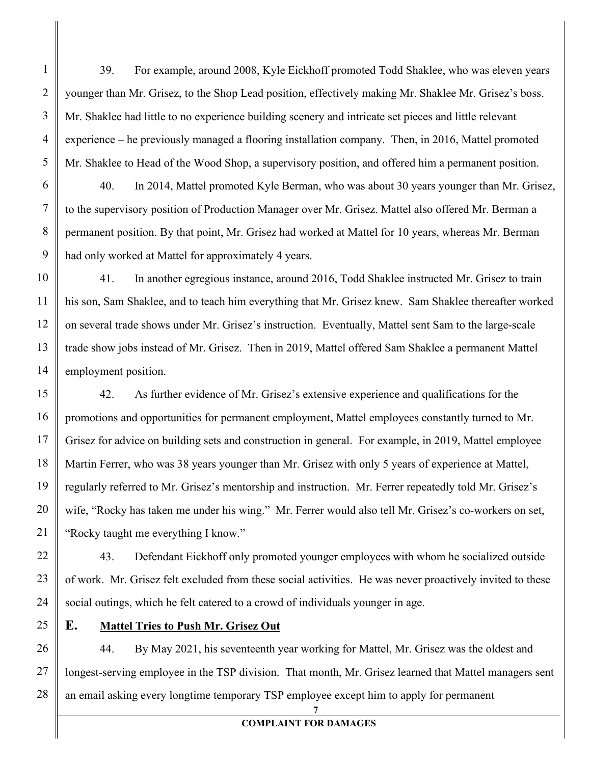39. For example, around 2008, Kyle Eickhoff promoted Todd Shaklee, who was eleven years younger than Mr. Grisez, to the Shop Lead position, effectively making Mr. Shaklee Mr. Grisez's boss. Mr. Shaklee had little to no experience building scenery and intricate set pieces and little relevant experience – he previously managed a flooring installation company. Then, in 2016, Mattel promoted Mr. Shaklee to Head of the Wood Shop, a supervisory position, and offered him a permanent position.

40. In 2014, Mattel promoted Kyle Berman, who was about 30 years younger than Mr. Grisez, to the supervisory position of Production Manager over Mr. Grisez. Mattel also offered Mr. Berman a permanent position. By that point, Mr. Grisez had worked at Mattel for 10 years, whereas Mr. Berman had only worked at Mattel for approximately 4 years.

41. In another egregious instance, around 2016, Todd Shaklee instructed Mr. Grisez to train his son, Sam Shaklee, and to teach him everything that Mr. Grisez knew. Sam Shaklee thereafter worked on several trade shows under Mr. Grisez's instruction. Eventually, Mattel sent Sam to the large-scale trade show jobs instead of Mr. Grisez. Then in 2019, Mattel offered Sam Shaklee a permanent Mattel employment position.

42. As further evidence of Mr. Grisez's extensive experience and qualifications for the promotions and opportunities for permanent employment, Mattel employees constantly turned to Mr. Grisez for advice on building sets and construction in general. For example, in 2019, Mattel employee Martin Ferrer, who was 38 years younger than Mr. Grisez with only 5 years of experience at Mattel, regularly referred to Mr. Grisez's mentorship and instruction. Mr. Ferrer repeatedly told Mr. Grisez's wife, "Rocky has taken me under his wing." Mr. Ferrer would also tell Mr. Grisez's co-workers on set, "Rocky taught me everything I know."

43. Defendant Eickhoff only promoted younger employees with whom he socialized outside of work. Mr. Grisez felt excluded from these social activities. He was never proactively invited to these social outings, which he felt catered to a crowd of individuals younger in age.

## **E. Mattel Tries to Push Mr. Grisez Out**

28 44. By May 2021, his seventeenth year working for Mattel, Mr. Grisez was the oldest and longest-serving employee in the TSP division. That month, Mr. Grisez learned that Mattel managers sent an email asking every longtime temporary TSP employee except him to apply for permanent

#### **COMPLAINT FOR DAMAGES**

**7**

1

2

3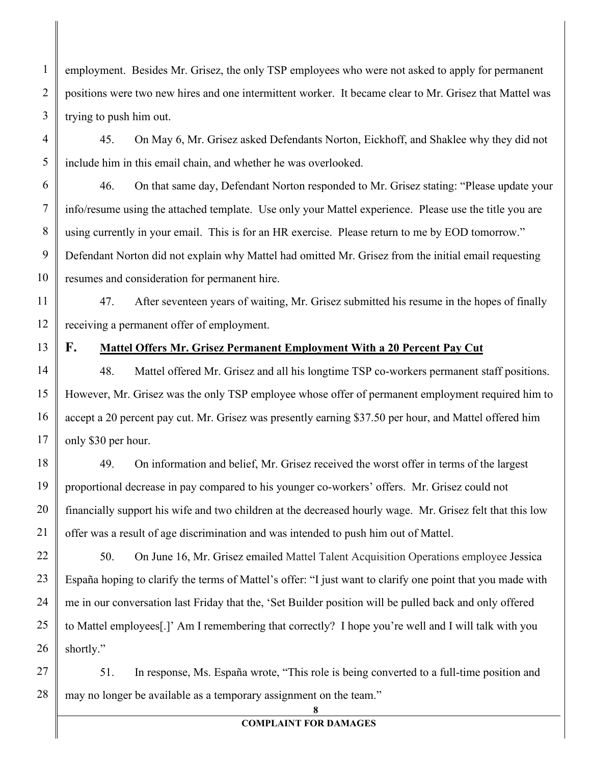employment. Besides Mr. Grisez, the only TSP employees who were not asked to apply for permanent positions were two new hires and one intermittent worker. It became clear to Mr. Grisez that Mattel was trying to push him out.

45. On May 6, Mr. Grisez asked Defendants Norton, Eickhoff, and Shaklee why they did not include him in this email chain, and whether he was overlooked.

46. On that same day, Defendant Norton responded to Mr. Grisez stating: "Please update your info/resume using the attached template. Use only your Mattel experience. Please use the title you are using currently in your email. This is for an HR exercise. Please return to me by EOD tomorrow." Defendant Norton did not explain why Mattel had omitted Mr. Grisez from the initial email requesting resumes and consideration for permanent hire.

47. After seventeen years of waiting, Mr. Grisez submitted his resume in the hopes of finally receiving a permanent offer of employment.

## **F. Mattel Offers Mr. Grisez Permanent Employment With a 20 Percent Pay Cut**

48. Mattel offered Mr. Grisez and all his longtime TSP co-workers permanent staff positions. However, Mr. Grisez was the only TSP employee whose offer of permanent employment required him to accept a 20 percent pay cut. Mr. Grisez was presently earning \$37.50 per hour, and Mattel offered him only \$30 per hour.

49. On information and belief, Mr. Grisez received the worst offer in terms of the largest proportional decrease in pay compared to his younger co-workers' offers. Mr. Grisez could not financially support his wife and two children at the decreased hourly wage. Mr. Grisez felt that this low offer was a result of age discrimination and was intended to push him out of Mattel.

50. On June 16, Mr. Grisez emailed Mattel Talent Acquisition Operations employee Jessica España hoping to clarify the terms of Mattel's offer: "I just want to clarify one point that you made with me in our conversation last Friday that the, 'Set Builder position will be pulled back and only offered to Mattel employees[.]' Am I remembering that correctly? I hope you're well and I will talk with you shortly."

28 51. In response, Ms. España wrote, "This role is being converted to a full-time position and may no longer be available as a temporary assignment on the team."

## **COMPLAINT FOR DAMAGES**

**8**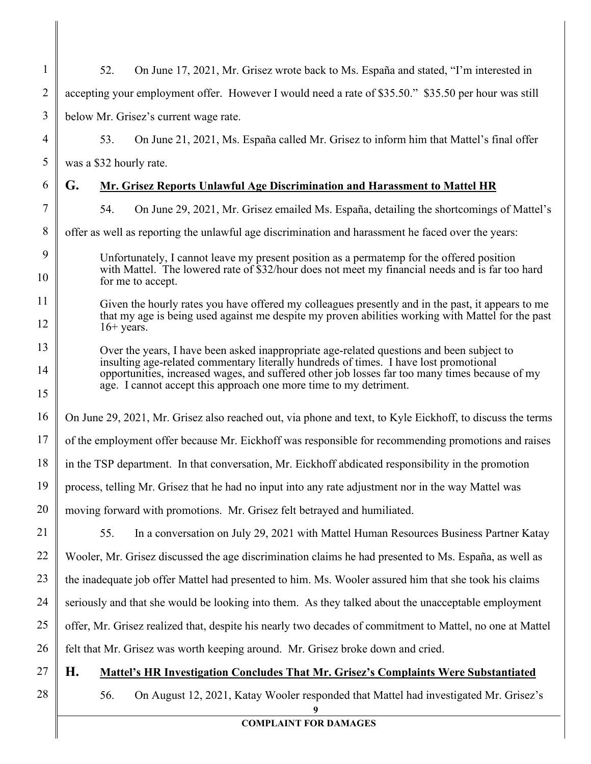| $\mathbf{1}$   | On June 17, 2021, Mr. Grisez wrote back to Ms. España and stated, "I'm interested in<br>52.                                                                                                                                                                                          |  |  |
|----------------|--------------------------------------------------------------------------------------------------------------------------------------------------------------------------------------------------------------------------------------------------------------------------------------|--|--|
| $\overline{2}$ | accepting your employment offer. However I would need a rate of \$35.50." \$35.50 per hour was still                                                                                                                                                                                 |  |  |
| $\mathfrak{Z}$ | below Mr. Grisez's current wage rate.                                                                                                                                                                                                                                                |  |  |
| $\overline{4}$ | 53.<br>On June 21, 2021, Ms. España called Mr. Grisez to inform him that Mattel's final offer                                                                                                                                                                                        |  |  |
| 5              | was a \$32 hourly rate.                                                                                                                                                                                                                                                              |  |  |
| 6              | G.<br>Mr. Grisez Reports Unlawful Age Discrimination and Harassment to Mattel HR                                                                                                                                                                                                     |  |  |
| 7              | 54.<br>On June 29, 2021, Mr. Grisez emailed Ms. España, detailing the shortcomings of Mattel's                                                                                                                                                                                       |  |  |
| 8              | offer as well as reporting the unlawful age discrimination and harassment he faced over the years:                                                                                                                                                                                   |  |  |
| 9<br>10        | Unfortunately, I cannot leave my present position as a permatemp for the offered position<br>with Mattel. The lowered rate of \$32/hour does not meet my financial needs and is far too hard                                                                                         |  |  |
| 11             | for me to accept.                                                                                                                                                                                                                                                                    |  |  |
| 12             | Given the hourly rates you have offered my colleagues presently and in the past, it appears to me<br>that my age is being used against me despite my proven abilities working with Mattel for the past<br>$16+$ years.                                                               |  |  |
| 13             | Over the years, I have been asked inappropriate age-related questions and been subject to<br>insulting age-related commentary literally hundreds of times. I have lost promotional<br>opportunities, increased wages, and suffered other job losses far too many times because of my |  |  |
| 14             |                                                                                                                                                                                                                                                                                      |  |  |
| 15             | age. I cannot accept this approach one more time to my detriment.                                                                                                                                                                                                                    |  |  |
| 16             | On June 29, 2021, Mr. Grisez also reached out, via phone and text, to Kyle Eickhoff, to discuss the terms                                                                                                                                                                            |  |  |
| 17             | of the employment offer because Mr. Eickhoff was responsible for recommending promotions and raises                                                                                                                                                                                  |  |  |
| 18             | in the TSP department. In that conversation, Mr. Eickhoff abdicated responsibility in the promotion                                                                                                                                                                                  |  |  |
| 19             | process, telling Mr. Grisez that he had no input into any rate adjustment nor in the way Mattel was                                                                                                                                                                                  |  |  |
| 20             | moving forward with promotions. Mr. Grisez felt betrayed and humiliated.                                                                                                                                                                                                             |  |  |
| 21             | 55.<br>In a conversation on July 29, 2021 with Mattel Human Resources Business Partner Katay                                                                                                                                                                                         |  |  |
| 22             | Wooler, Mr. Grisez discussed the age discrimination claims he had presented to Ms. España, as well as                                                                                                                                                                                |  |  |
| 23             | the inadequate job offer Mattel had presented to him. Ms. Wooler assured him that she took his claims                                                                                                                                                                                |  |  |
| 24             | seriously and that she would be looking into them. As they talked about the unacceptable employment                                                                                                                                                                                  |  |  |
| 25             | offer, Mr. Grisez realized that, despite his nearly two decades of commitment to Mattel, no one at Mattel                                                                                                                                                                            |  |  |
| 26             | felt that Mr. Grisez was worth keeping around. Mr. Grisez broke down and cried.                                                                                                                                                                                                      |  |  |
| 27             | Н.<br><b>Mattel's HR Investigation Concludes That Mr. Grisez's Complaints Were Substantiated</b>                                                                                                                                                                                     |  |  |
| 28             | 56.<br>On August 12, 2021, Katay Wooler responded that Mattel had investigated Mr. Grisez's                                                                                                                                                                                          |  |  |
|                | <b>COMPLAINT FOR DAMAGES</b>                                                                                                                                                                                                                                                         |  |  |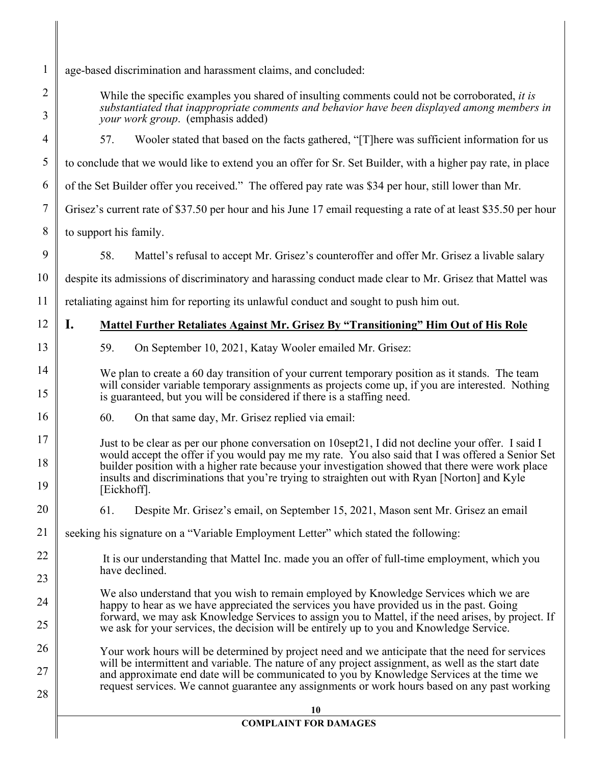| $\mathbf{1}$ | age-based discrimination and harassment claims, and concluded:                                                                                                                                                                                                                                                       |  |  |
|--------------|----------------------------------------------------------------------------------------------------------------------------------------------------------------------------------------------------------------------------------------------------------------------------------------------------------------------|--|--|
| 2            | While the specific examples you shared of insulting comments could not be corroborated, it is                                                                                                                                                                                                                        |  |  |
| 3            | substantiated that inappropriate comments and behavior have been displayed among members in<br>your work group. (emphasis added)                                                                                                                                                                                     |  |  |
| 4            | Wooler stated that based on the facts gathered, "[T] here was sufficient information for us<br>57.                                                                                                                                                                                                                   |  |  |
| 5            | to conclude that we would like to extend you an offer for Sr. Set Builder, with a higher pay rate, in place                                                                                                                                                                                                          |  |  |
| 6            | of the Set Builder offer you received." The offered pay rate was \$34 per hour, still lower than Mr.                                                                                                                                                                                                                 |  |  |
| 7            | Grisez's current rate of \$37.50 per hour and his June 17 email requesting a rate of at least \$35.50 per hour                                                                                                                                                                                                       |  |  |
| 8            | to support his family.                                                                                                                                                                                                                                                                                               |  |  |
| 9            | 58.<br>Mattel's refusal to accept Mr. Grisez's counteroffer and offer Mr. Grisez a livable salary                                                                                                                                                                                                                    |  |  |
| 10           | despite its admissions of discriminatory and harassing conduct made clear to Mr. Grisez that Mattel was                                                                                                                                                                                                              |  |  |
| 11           | retaliating against him for reporting its unlawful conduct and sought to push him out.                                                                                                                                                                                                                               |  |  |
| 12           | I.<br>Mattel Further Retaliates Against Mr. Grisez By "Transitioning" Him Out of His Role                                                                                                                                                                                                                            |  |  |
| 13           | 59.<br>On September 10, 2021, Katay Wooler emailed Mr. Grisez:                                                                                                                                                                                                                                                       |  |  |
| 14           | We plan to create a 60 day transition of your current temporary position as it stands. The team                                                                                                                                                                                                                      |  |  |
| 15           | will consider variable temporary assignments as projects come up, if you are interested. Nothing<br>is guaranteed, but you will be considered if there is a staffing need.                                                                                                                                           |  |  |
| 16           | 60.<br>On that same day, Mr. Grisez replied via email:                                                                                                                                                                                                                                                               |  |  |
| 17           | Just to be clear as per our phone conversation on 10sept21, I did not decline your offer. I said I                                                                                                                                                                                                                   |  |  |
| 18<br>19     | would accept the offer if you would pay me my rate. You also said that I was offered a Senior Set<br>builder position with a higher rate because your investigation showed that there were work place<br>insults and discriminations that you're trying to straighten out with Ryan [Norton] and Kyle<br>[Eickhoff]. |  |  |
| 20           | 61.<br>Despite Mr. Grisez's email, on September 15, 2021, Mason sent Mr. Grisez an email                                                                                                                                                                                                                             |  |  |
| 21           | seeking his signature on a "Variable Employment Letter" which stated the following:                                                                                                                                                                                                                                  |  |  |
| 22           | It is our understanding that Mattel Inc. made you an offer of full-time employment, which you                                                                                                                                                                                                                        |  |  |
| 23           | have declined.                                                                                                                                                                                                                                                                                                       |  |  |
| 24           | We also understand that you wish to remain employed by Knowledge Services which we are<br>happy to hear as we have appreciated the services you have provided us in the past. Going                                                                                                                                  |  |  |
| 25           | forward, we may ask Knowledge Services to assign you to Mattel, if the need arises, by project. If<br>we ask for your services, the decision will be entirely up to you and Knowledge Service.                                                                                                                       |  |  |
| 26           | Your work hours will be determined by project need and we anticipate that the need for services                                                                                                                                                                                                                      |  |  |
| 27           | will be intermittent and variable. The nature of any project assignment, as well as the start date<br>and approximate end date will be communicated to you by Knowledge Services at the time we                                                                                                                      |  |  |
| 28           | request services. We cannot guarantee any assignments or work hours based on any past working                                                                                                                                                                                                                        |  |  |
|              | 10                                                                                                                                                                                                                                                                                                                   |  |  |
|              | <b>COMPLAINT FOR DAMAGES</b>                                                                                                                                                                                                                                                                                         |  |  |

║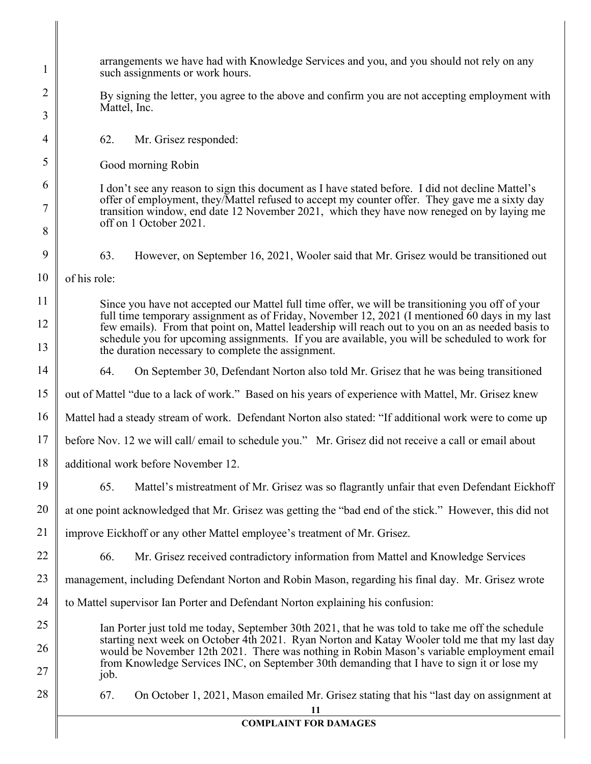| 1  | arrangements we have had with Knowledge Services and you, and you should not rely on any<br>such assignments or work hours.                                                                                                                                                                                                                                 |  |  |
|----|-------------------------------------------------------------------------------------------------------------------------------------------------------------------------------------------------------------------------------------------------------------------------------------------------------------------------------------------------------------|--|--|
| 2  | By signing the letter, you agree to the above and confirm you are not accepting employment with<br>Mattel, Inc.                                                                                                                                                                                                                                             |  |  |
| 3  |                                                                                                                                                                                                                                                                                                                                                             |  |  |
| 4  | 62.<br>Mr. Grisez responded:                                                                                                                                                                                                                                                                                                                                |  |  |
| 5  | Good morning Robin                                                                                                                                                                                                                                                                                                                                          |  |  |
| 6  | I don't see any reason to sign this document as I have stated before. I did not decline Mattel's<br>offer of employment, they/Mattel refused to accept my counter offer. They gave me a sixty day<br>transition window, end date 12 November 2021, which they have now reneged on by laying me                                                              |  |  |
| 7  |                                                                                                                                                                                                                                                                                                                                                             |  |  |
| 8  | off on 1 October 2021.                                                                                                                                                                                                                                                                                                                                      |  |  |
| 9  | 63.<br>However, on September 16, 2021, Wooler said that Mr. Grisez would be transitioned out                                                                                                                                                                                                                                                                |  |  |
| 10 | of his role:                                                                                                                                                                                                                                                                                                                                                |  |  |
| 11 | Since you have not accepted our Mattel full time offer, we will be transitioning you off of your                                                                                                                                                                                                                                                            |  |  |
| 12 | full time temporary assignment as of Friday, November 12, 2021 (I mentioned 60 days in my last<br>few emails). From that point on, Mattel leadership will reach out to you on an as needed basis to<br>schedule you for upcoming assignments. If you are available, you will be scheduled to work for<br>the duration necessary to complete the assignment. |  |  |
| 13 |                                                                                                                                                                                                                                                                                                                                                             |  |  |
| 14 | 64.<br>On September 30, Defendant Norton also told Mr. Grisez that he was being transitioned                                                                                                                                                                                                                                                                |  |  |
| 15 | out of Mattel "due to a lack of work." Based on his years of experience with Mattel, Mr. Grisez knew                                                                                                                                                                                                                                                        |  |  |
| 16 | Mattel had a steady stream of work. Defendant Norton also stated: "If additional work were to come up                                                                                                                                                                                                                                                       |  |  |
| 17 | before Nov. 12 we will call/ email to schedule you." Mr. Grisez did not receive a call or email about                                                                                                                                                                                                                                                       |  |  |
| 18 | additional work before November 12.                                                                                                                                                                                                                                                                                                                         |  |  |
| 19 | 65.<br>Mattel's mistreatment of Mr. Grisez was so flagrantly unfair that even Defendant Eickhoff                                                                                                                                                                                                                                                            |  |  |
| 20 | at one point acknowledged that Mr. Grisez was getting the "bad end of the stick." However, this did not                                                                                                                                                                                                                                                     |  |  |
| 21 | improve Eickhoff or any other Mattel employee's treatment of Mr. Grisez.                                                                                                                                                                                                                                                                                    |  |  |
| 22 | Mr. Grisez received contradictory information from Mattel and Knowledge Services<br>66.                                                                                                                                                                                                                                                                     |  |  |
| 23 | management, including Defendant Norton and Robin Mason, regarding his final day. Mr. Grisez wrote                                                                                                                                                                                                                                                           |  |  |
| 24 | to Mattel supervisor Ian Porter and Defendant Norton explaining his confusion:                                                                                                                                                                                                                                                                              |  |  |
| 25 | Ian Porter just told me today, September 30th 2021, that he was told to take me off the schedule                                                                                                                                                                                                                                                            |  |  |
| 26 | starting next week on October 4th 2021. Ryan Norton and Katay Wooler told me that my last day<br>would be November 12th 2021. There was nothing in Robin Mason's variable employment email                                                                                                                                                                  |  |  |
| 27 | from Knowledge Services INC, on September 30th demanding that I have to sign it or lose my<br>job.                                                                                                                                                                                                                                                          |  |  |
| 28 | On October 1, 2021, Mason emailed Mr. Grisez stating that his "last day on assignment at<br>67.<br>11                                                                                                                                                                                                                                                       |  |  |

 $\parallel$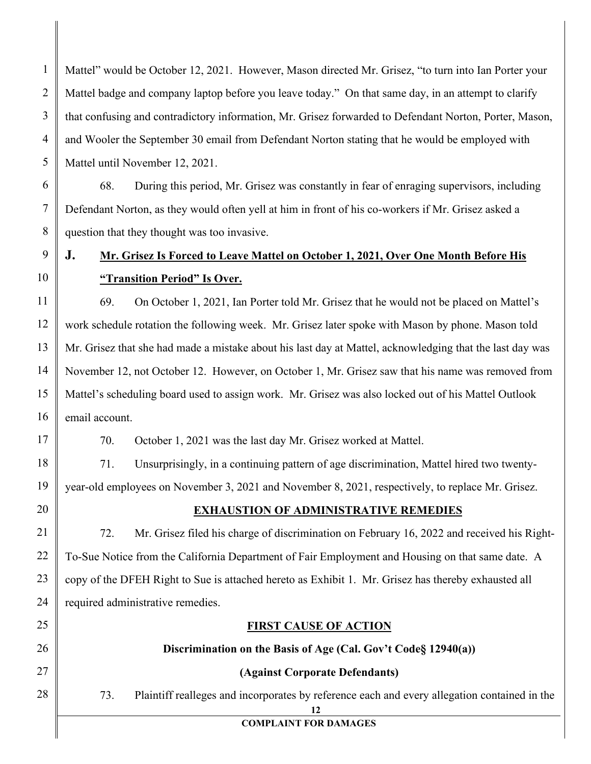Mattel" would be October 12, 2021. However, Mason directed Mr. Grisez, "to turn into Ian Porter your Mattel badge and company laptop before you leave today." On that same day, in an attempt to clarify that confusing and contradictory information, Mr. Grisez forwarded to Defendant Norton, Porter, Mason, and Wooler the September 30 email from Defendant Norton stating that he would be employed with Mattel until November 12, 2021.

68. During this period, Mr. Grisez was constantly in fear of enraging supervisors, including Defendant Norton, as they would often yell at him in front of his co-workers if Mr. Grisez asked a question that they thought was too invasive.

# **J. Mr. Grisez Is Forced to Leave Mattel on October 1, 2021, Over One Month Before His "Transition Period" Is Over.**

11 12 13 14 15 16 69. On October 1, 2021, Ian Porter told Mr. Grisez that he would not be placed on Mattel's work schedule rotation the following week. Mr. Grisez later spoke with Mason by phone. Mason told Mr. Grisez that she had made a mistake about his last day at Mattel, acknowledging that the last day was November 12, not October 12. However, on October 1, Mr. Grisez saw that his name was removed from Mattel's scheduling board used to assign work. Mr. Grisez was also locked out of his Mattel Outlook email account.

70. October 1, 2021 was the last day Mr. Grisez worked at Mattel.

71. Unsurprisingly, in a continuing pattern of age discrimination, Mattel hired two twentyyear-old employees on November 3, 2021 and November 8, 2021, respectively, to replace Mr. Grisez.

20

17

18

19

21

22

23

24

25

26

27

28

1

2

3

4

5

6

7

8

9

10

## **EXHAUSTION OF ADMINISTRATIVE REMEDIES**

72. Mr. Grisez filed his charge of discrimination on February 16, 2022 and received his Right-To-Sue Notice from the California Department of Fair Employment and Housing on that same date. A copy of the DFEH Right to Sue is attached hereto as Exhibit 1. Mr. Grisez has thereby exhausted all required administrative remedies.

## **FIRST CAUSE OF ACTION**

## **Discrimination on the Basis of Age (Cal. Gov't Code§ 12940(a))**

## **(Against Corporate Defendants)**

73. Plaintiff realleges and incorporates by reference each and every allegation contained in the

**12**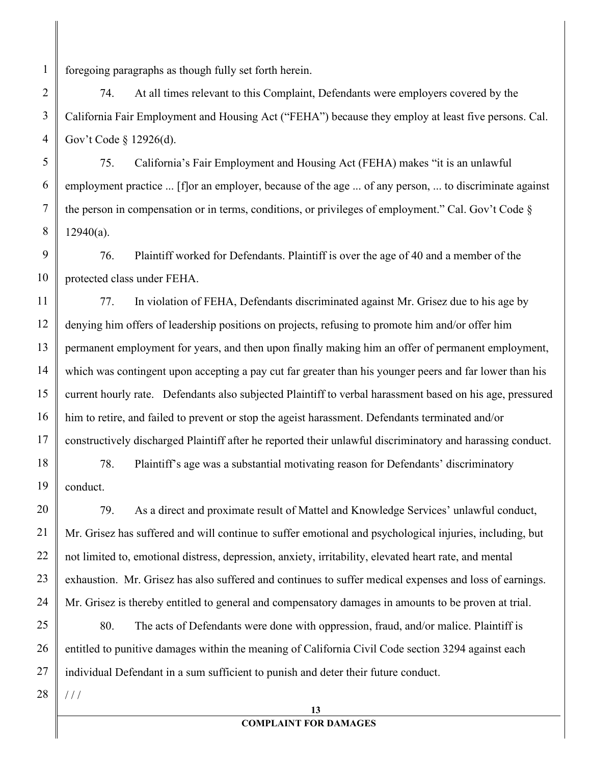foregoing paragraphs as though fully set forth herein.

1

2

3

4

5

6

7

8

74. At all times relevant to this Complaint, Defendants were employers covered by the California Fair Employment and Housing Act ("FEHA") because they employ at least five persons. Cal. Gov't Code § 12926(d).

75. California's Fair Employment and Housing Act (FEHA) makes "it is an unlawful employment practice ... [f]or an employer, because of the age ... of any person, ... to discriminate against the person in compensation or in terms, conditions, or privileges of employment." Cal. Gov't Code §  $12940(a)$ .

9 10 76. Plaintiff worked for Defendants. Plaintiff is over the age of 40 and a member of the protected class under FEHA.

11 12 13 14 15 16 17 77. In violation of FEHA, Defendants discriminated against Mr. Grisez due to his age by denying him offers of leadership positions on projects, refusing to promote him and/or offer him permanent employment for years, and then upon finally making him an offer of permanent employment, which was contingent upon accepting a pay cut far greater than his younger peers and far lower than his current hourly rate. Defendants also subjected Plaintiff to verbal harassment based on his age, pressured him to retire, and failed to prevent or stop the ageist harassment. Defendants terminated and/or constructively discharged Plaintiff after he reported their unlawful discriminatory and harassing conduct.

18 19 78. Plaintiff's age was a substantial motivating reason for Defendants' discriminatory conduct.

79. As a direct and proximate result of Mattel and Knowledge Services' unlawful conduct, Mr. Grisez has suffered and will continue to suffer emotional and psychological injuries, including, but not limited to, emotional distress, depression, anxiety, irritability, elevated heart rate, and mental exhaustion. Mr. Grisez has also suffered and continues to suffer medical expenses and loss of earnings. Mr. Grisez is thereby entitled to general and compensatory damages in amounts to be proven at trial.

80. The acts of Defendants were done with oppression, fraud, and/or malice. Plaintiff is entitled to punitive damages within the meaning of California Civil Code section 3294 against each individual Defendant in a sum sufficient to punish and deter their future conduct.

28  $1/1$ 

20

21

22

23

24

25

26

27

## **COMPLAINT FOR DAMAGES**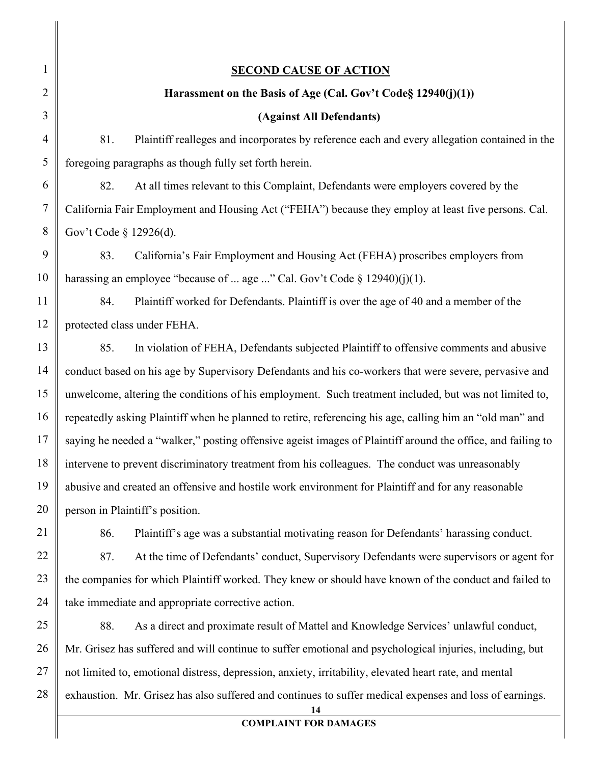| $\mathbf{1}$   | <b>SECOND CAUSE OF ACTION</b>                                                                                 |  |  |
|----------------|---------------------------------------------------------------------------------------------------------------|--|--|
| $\overline{2}$ | Harassment on the Basis of Age (Cal. Gov't Code§ 12940(j)(1))                                                 |  |  |
| 3              | (Against All Defendants)                                                                                      |  |  |
| $\overline{4}$ | 81.<br>Plaintiff realleges and incorporates by reference each and every allegation contained in the           |  |  |
| 5              | foregoing paragraphs as though fully set forth herein.                                                        |  |  |
| 6              | 82.<br>At all times relevant to this Complaint, Defendants were employers covered by the                      |  |  |
| $\overline{7}$ | California Fair Employment and Housing Act ("FEHA") because they employ at least five persons. Cal.           |  |  |
| 8              | Gov't Code § 12926(d).                                                                                        |  |  |
| 9              | California's Fair Employment and Housing Act (FEHA) proscribes employers from<br>83.                          |  |  |
| 10             | harassing an employee "because of  age " Cal. Gov't Code $\S$ 12940)(j)(1).                                   |  |  |
| 11             | 84.<br>Plaintiff worked for Defendants. Plaintiff is over the age of 40 and a member of the                   |  |  |
| 12             | protected class under FEHA.                                                                                   |  |  |
| 13             | 85.<br>In violation of FEHA, Defendants subjected Plaintiff to offensive comments and abusive                 |  |  |
| 14             | conduct based on his age by Supervisory Defendants and his co-workers that were severe, pervasive and         |  |  |
| 15             | unwelcome, altering the conditions of his employment. Such treatment included, but was not limited to,        |  |  |
| 16             | repeatedly asking Plaintiff when he planned to retire, referencing his age, calling him an "old man" and      |  |  |
| 17             | saying he needed a "walker," posting offensive ageist images of Plaintiff around the office, and failing to   |  |  |
| 18             | intervene to prevent discriminatory treatment from his colleagues. The conduct was unreasonably               |  |  |
| 19             | abusive and created an offensive and hostile work environment for Plaintiff and for any reasonable            |  |  |
| 20             | person in Plaintiff's position.                                                                               |  |  |
| 21             | Plaintiff's age was a substantial motivating reason for Defendants' harassing conduct.<br>86.                 |  |  |
| 22             | At the time of Defendants' conduct, Supervisory Defendants were supervisors or agent for<br>87.               |  |  |
| 23             | the companies for which Plaintiff worked. They knew or should have known of the conduct and failed to         |  |  |
| 24             | take immediate and appropriate corrective action.                                                             |  |  |
| 25             | 88.<br>As a direct and proximate result of Mattel and Knowledge Services' unlawful conduct,                   |  |  |
| 26             | Mr. Grisez has suffered and will continue to suffer emotional and psychological injuries, including, but      |  |  |
| 27             | not limited to, emotional distress, depression, anxiety, irritability, elevated heart rate, and mental        |  |  |
| 28             | exhaustion. Mr. Grisez has also suffered and continues to suffer medical expenses and loss of earnings.<br>14 |  |  |
|                | <b>COMPLAINT FOR DAMAGES</b>                                                                                  |  |  |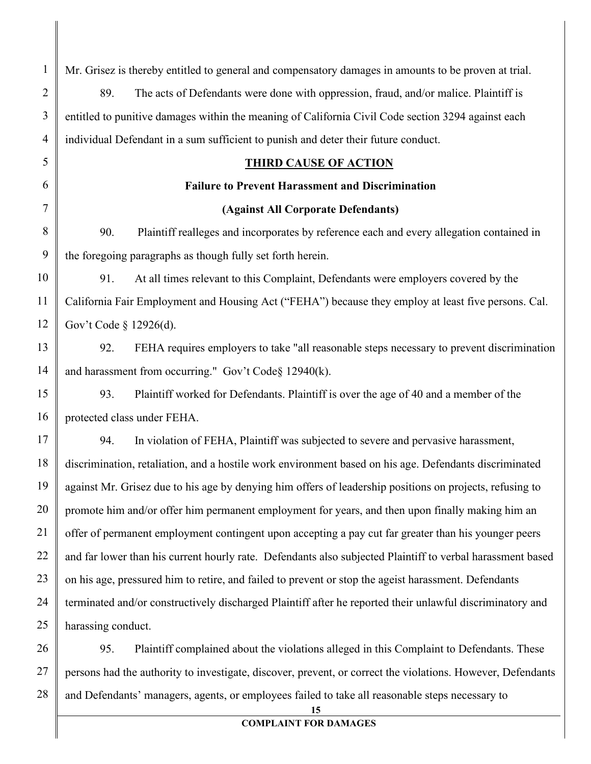| $\mathbf{1}$   | Mr. Grisez is thereby entitled to general and compensatory damages in amounts to be proven at trial.        |  |  |
|----------------|-------------------------------------------------------------------------------------------------------------|--|--|
| $\overline{2}$ | 89.<br>The acts of Defendants were done with oppression, fraud, and/or malice. Plaintiff is                 |  |  |
| 3              | entitled to punitive damages within the meaning of California Civil Code section 3294 against each          |  |  |
| $\overline{4}$ | individual Defendant in a sum sufficient to punish and deter their future conduct.                          |  |  |
| 5              | <b>THIRD CAUSE OF ACTION</b>                                                                                |  |  |
| 6              | <b>Failure to Prevent Harassment and Discrimination</b>                                                     |  |  |
| 7              | (Against All Corporate Defendants)                                                                          |  |  |
| $8\,$          | 90.<br>Plaintiff realleges and incorporates by reference each and every allegation contained in             |  |  |
| 9              | the foregoing paragraphs as though fully set forth herein.                                                  |  |  |
| 10             | At all times relevant to this Complaint, Defendants were employers covered by the<br>91.                    |  |  |
| 11             | California Fair Employment and Housing Act ("FEHA") because they employ at least five persons. Cal.         |  |  |
| 12             | Gov't Code § 12926(d).                                                                                      |  |  |
| 13             | FEHA requires employers to take "all reasonable steps necessary to prevent discrimination<br>92.            |  |  |
| 14             | and harassment from occurring." Gov't Code§ 12940(k).                                                       |  |  |
| 15             | Plaintiff worked for Defendants. Plaintiff is over the age of 40 and a member of the<br>93.                 |  |  |
| 16             | protected class under FEHA.                                                                                 |  |  |
| 17             | In violation of FEHA, Plaintiff was subjected to severe and pervasive harassment,<br>94.                    |  |  |
| 18             | discrimination, retaliation, and a hostile work environment based on his age. Defendants discriminated      |  |  |
| 19             | against Mr. Grisez due to his age by denying him offers of leadership positions on projects, refusing to    |  |  |
| 20             | promote him and/or offer him permanent employment for years, and then upon finally making him an            |  |  |
| 21             | offer of permanent employment contingent upon accepting a pay cut far greater than his younger peers        |  |  |
| 22             | and far lower than his current hourly rate. Defendants also subjected Plaintiff to verbal harassment based  |  |  |
| 23             | on his age, pressured him to retire, and failed to prevent or stop the ageist harassment. Defendants        |  |  |
| 24             | terminated and/or constructively discharged Plaintiff after he reported their unlawful discriminatory and   |  |  |
| 25             | harassing conduct.                                                                                          |  |  |
| 26             | 95.<br>Plaintiff complained about the violations alleged in this Complaint to Defendants. These             |  |  |
| 27             | persons had the authority to investigate, discover, prevent, or correct the violations. However, Defendants |  |  |
| 28             | and Defendants' managers, agents, or employees failed to take all reasonable steps necessary to             |  |  |

**15**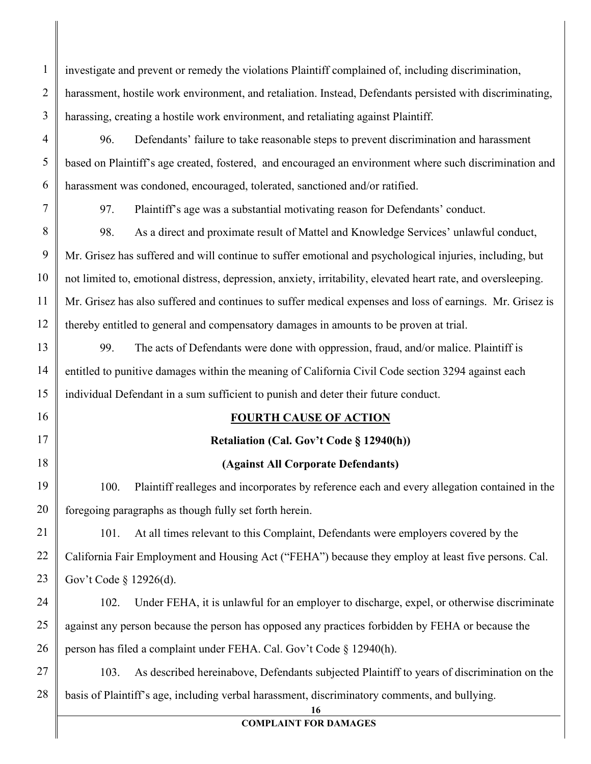investigate and prevent or remedy the violations Plaintiff complained of, including discrimination, harassment, hostile work environment, and retaliation. Instead, Defendants persisted with discriminating, harassing, creating a hostile work environment, and retaliating against Plaintiff.

96. Defendants' failure to take reasonable steps to prevent discrimination and harassment based on Plaintiff's age created, fostered, and encouraged an environment where such discrimination and harassment was condoned, encouraged, tolerated, sanctioned and/or ratified.

1

2

3

4

5

6

7

8

9

10

11

13

14

15

16

17

18

21

22

23

97. Plaintiff's age was a substantial motivating reason for Defendants' conduct.

12 98. As a direct and proximate result of Mattel and Knowledge Services' unlawful conduct, Mr. Grisez has suffered and will continue to suffer emotional and psychological injuries, including, but not limited to, emotional distress, depression, anxiety, irritability, elevated heart rate, and oversleeping. Mr. Grisez has also suffered and continues to suffer medical expenses and loss of earnings. Mr. Grisez is thereby entitled to general and compensatory damages in amounts to be proven at trial.

99. The acts of Defendants were done with oppression, fraud, and/or malice. Plaintiff is entitled to punitive damages within the meaning of California Civil Code section 3294 against each individual Defendant in a sum sufficient to punish and deter their future conduct.

## **FOURTH CAUSE OF ACTION**

## **Retaliation (Cal. Gov't Code § 12940(h))**

## **(Against All Corporate Defendants)**

19 20 100. Plaintiff realleges and incorporates by reference each and every allegation contained in the foregoing paragraphs as though fully set forth herein.

101. At all times relevant to this Complaint, Defendants were employers covered by the California Fair Employment and Housing Act ("FEHA") because they employ at least five persons. Cal. Gov't Code § 12926(d).

24 25 26 102. Under FEHA, it is unlawful for an employer to discharge, expel, or otherwise discriminate against any person because the person has opposed any practices forbidden by FEHA or because the person has filed a complaint under FEHA. Cal. Gov't Code § 12940(h).

27 28 103. As described hereinabove, Defendants subjected Plaintiff to years of discrimination on the basis of Plaintiff's age, including verbal harassment, discriminatory comments, and bullying.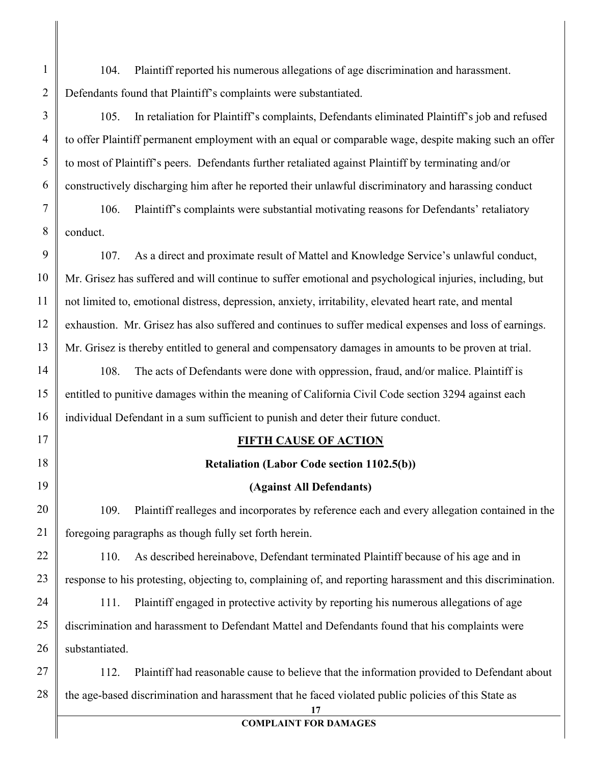104. Plaintiff reported his numerous allegations of age discrimination and harassment. Defendants found that Plaintiff's complaints were substantiated.

1

2

3

4

5

6

14

15

16

17

18

19

20

21

105. In retaliation for Plaintiff's complaints, Defendants eliminated Plaintiff's job and refused to offer Plaintiff permanent employment with an equal or comparable wage, despite making such an offer to most of Plaintiff's peers. Defendants further retaliated against Plaintiff by terminating and/or constructively discharging him after he reported their unlawful discriminatory and harassing conduct

7 8 106. Plaintiff's complaints were substantial motivating reasons for Defendants' retaliatory conduct.

9 10 11 12 13 107. As a direct and proximate result of Mattel and Knowledge Service's unlawful conduct, Mr. Grisez has suffered and will continue to suffer emotional and psychological injuries, including, but not limited to, emotional distress, depression, anxiety, irritability, elevated heart rate, and mental exhaustion. Mr. Grisez has also suffered and continues to suffer medical expenses and loss of earnings. Mr. Grisez is thereby entitled to general and compensatory damages in amounts to be proven at trial.

108. The acts of Defendants were done with oppression, fraud, and/or malice. Plaintiff is entitled to punitive damages within the meaning of California Civil Code section 3294 against each individual Defendant in a sum sufficient to punish and deter their future conduct.

## **FIFTH CAUSE OF ACTION**

#### **Retaliation (Labor Code section 1102.5(b))**

#### **(Against All Defendants)**

109. Plaintiff realleges and incorporates by reference each and every allegation contained in the foregoing paragraphs as though fully set forth herein.

22 23 110. As described hereinabove, Defendant terminated Plaintiff because of his age and in response to his protesting, objecting to, complaining of, and reporting harassment and this discrimination.

24 25 26 111. Plaintiff engaged in protective activity by reporting his numerous allegations of age discrimination and harassment to Defendant Mattel and Defendants found that his complaints were substantiated.

27 28 112. Plaintiff had reasonable cause to believe that the information provided to Defendant about the age-based discrimination and harassment that he faced violated public policies of this State as

**17**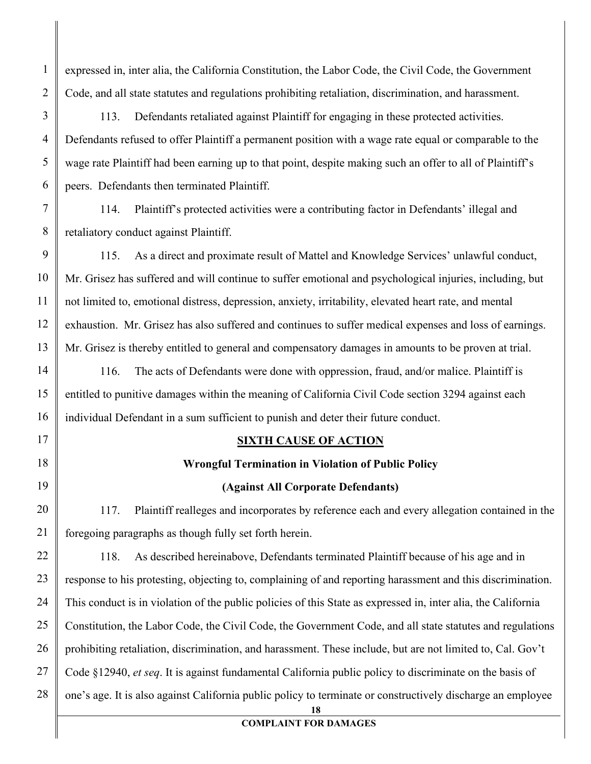expressed in, inter alia, the California Constitution, the Labor Code, the Civil Code, the Government Code, and all state statutes and regulations prohibiting retaliation, discrimination, and harassment.

1

2

3

4

5

6

7

8

9

10

11

12

14

15

16

17

18

19

20

21

113. Defendants retaliated against Plaintiff for engaging in these protected activities. Defendants refused to offer Plaintiff a permanent position with a wage rate equal or comparable to the wage rate Plaintiff had been earning up to that point, despite making such an offer to all of Plaintiff's peers. Defendants then terminated Plaintiff.

114. Plaintiff's protected activities were a contributing factor in Defendants' illegal and retaliatory conduct against Plaintiff.

13 115. As a direct and proximate result of Mattel and Knowledge Services' unlawful conduct, Mr. Grisez has suffered and will continue to suffer emotional and psychological injuries, including, but not limited to, emotional distress, depression, anxiety, irritability, elevated heart rate, and mental exhaustion. Mr. Grisez has also suffered and continues to suffer medical expenses and loss of earnings. Mr. Grisez is thereby entitled to general and compensatory damages in amounts to be proven at trial.

116. The acts of Defendants were done with oppression, fraud, and/or malice. Plaintiff is entitled to punitive damages within the meaning of California Civil Code section 3294 against each individual Defendant in a sum sufficient to punish and deter their future conduct.

#### **SIXTH CAUSE OF ACTION**

#### **Wrongful Termination in Violation of Public Policy**

#### **(Against All Corporate Defendants)**

117. Plaintiff realleges and incorporates by reference each and every allegation contained in the foregoing paragraphs as though fully set forth herein.

22 23 24 25 26 27 28 118. As described hereinabove, Defendants terminated Plaintiff because of his age and in response to his protesting, objecting to, complaining of and reporting harassment and this discrimination. This conduct is in violation of the public policies of this State as expressed in, inter alia, the California Constitution, the Labor Code, the Civil Code, the Government Code, and all state statutes and regulations prohibiting retaliation, discrimination, and harassment. These include, but are not limited to, Cal. Gov't Code §12940, *et seq*. It is against fundamental California public policy to discriminate on the basis of one's age. It is also against California public policy to terminate or constructively discharge an employee

**18**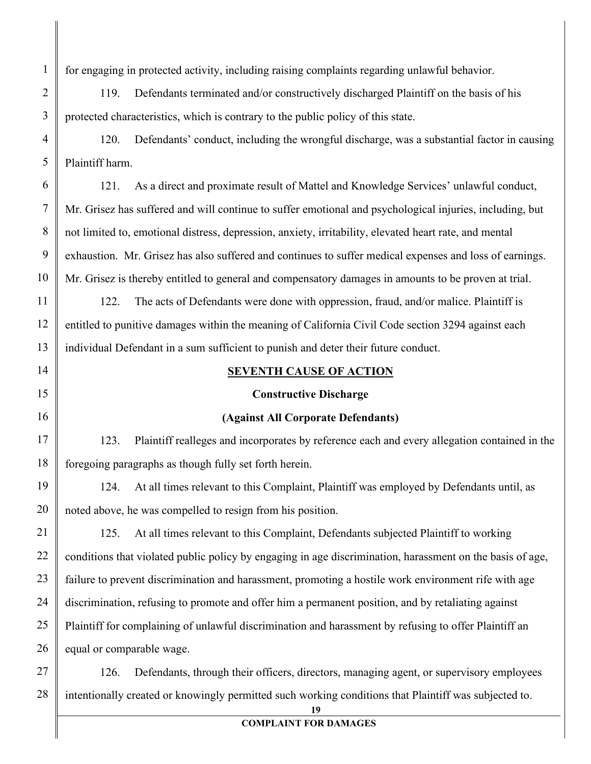for engaging in protected activity, including raising complaints regarding unlawful behavior.

1

2

3

6

7

8

9

10

11

12

13

14

15

16

17

18

119. Defendants terminated and/or constructively discharged Plaintiff on the basis of his protected characteristics, which is contrary to the public policy of this state.

4 5 120. Defendants' conduct, including the wrongful discharge, was a substantial factor in causing Plaintiff harm.

121. As a direct and proximate result of Mattel and Knowledge Services' unlawful conduct, Mr. Grisez has suffered and will continue to suffer emotional and psychological injuries, including, but not limited to, emotional distress, depression, anxiety, irritability, elevated heart rate, and mental exhaustion. Mr. Grisez has also suffered and continues to suffer medical expenses and loss of earnings. Mr. Grisez is thereby entitled to general and compensatory damages in amounts to be proven at trial.

122. The acts of Defendants were done with oppression, fraud, and/or malice. Plaintiff is entitled to punitive damages within the meaning of California Civil Code section 3294 against each individual Defendant in a sum sufficient to punish and deter their future conduct.

#### **SEVENTH CAUSE OF ACTION**

#### **Constructive Discharge**

#### **(Against All Corporate Defendants)**

123. Plaintiff realleges and incorporates by reference each and every allegation contained in the foregoing paragraphs as though fully set forth herein.

19 20 124. At all times relevant to this Complaint, Plaintiff was employed by Defendants until, as noted above, he was compelled to resign from his position.

21 22 23 24 25 26 125. At all times relevant to this Complaint, Defendants subjected Plaintiff to working conditions that violated public policy by engaging in age discrimination, harassment on the basis of age, failure to prevent discrimination and harassment, promoting a hostile work environment rife with age discrimination, refusing to promote and offer him a permanent position, and by retaliating against Plaintiff for complaining of unlawful discrimination and harassment by refusing to offer Plaintiff an equal or comparable wage.

27 28 126. Defendants, through their officers, directors, managing agent, or supervisory employees intentionally created or knowingly permitted such working conditions that Plaintiff was subjected to.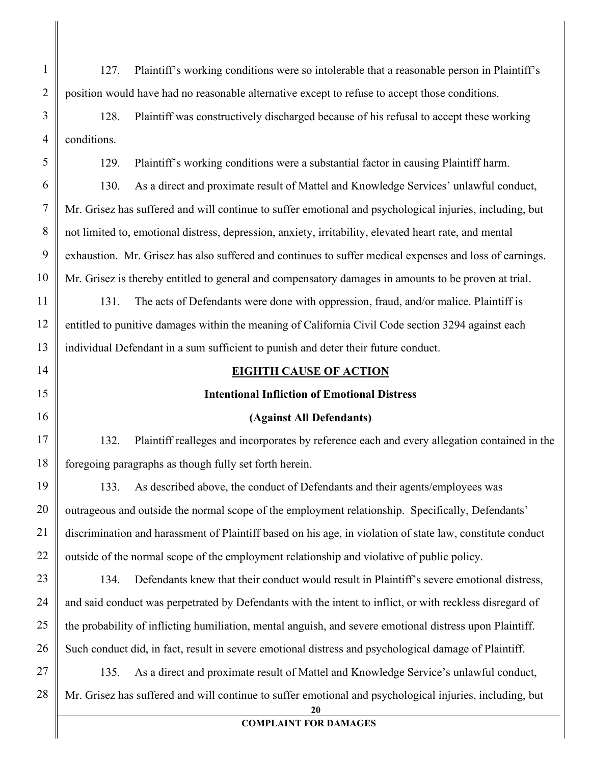127. Plaintiff's working conditions were so intolerable that a reasonable person in Plaintiff's position would have had no reasonable alternative except to refuse to accept those conditions.

1

2

3

4

5

6

7

8

9

10

11

12

13

14

15

16

17

18

19

20

21

22

23

24

25

128. Plaintiff was constructively discharged because of his refusal to accept these working conditions.

129. Plaintiff's working conditions were a substantial factor in causing Plaintiff harm.

130. As a direct and proximate result of Mattel and Knowledge Services' unlawful conduct, Mr. Grisez has suffered and will continue to suffer emotional and psychological injuries, including, but not limited to, emotional distress, depression, anxiety, irritability, elevated heart rate, and mental exhaustion. Mr. Grisez has also suffered and continues to suffer medical expenses and loss of earnings. Mr. Grisez is thereby entitled to general and compensatory damages in amounts to be proven at trial.

131. The acts of Defendants were done with oppression, fraud, and/or malice. Plaintiff is entitled to punitive damages within the meaning of California Civil Code section 3294 against each individual Defendant in a sum sufficient to punish and deter their future conduct.

#### **EIGHTH CAUSE OF ACTION**

#### **Intentional Infliction of Emotional Distress**

#### **(Against All Defendants)**

132. Plaintiff realleges and incorporates by reference each and every allegation contained in the foregoing paragraphs as though fully set forth herein.

133. As described above, the conduct of Defendants and their agents/employees was outrageous and outside the normal scope of the employment relationship. Specifically, Defendants' discrimination and harassment of Plaintiff based on his age, in violation of state law, constitute conduct outside of the normal scope of the employment relationship and violative of public policy.

26 134. Defendants knew that their conduct would result in Plaintiff's severe emotional distress, and said conduct was perpetrated by Defendants with the intent to inflict, or with reckless disregard of the probability of inflicting humiliation, mental anguish, and severe emotional distress upon Plaintiff. Such conduct did, in fact, result in severe emotional distress and psychological damage of Plaintiff.

27 28 135. As a direct and proximate result of Mattel and Knowledge Service's unlawful conduct, Mr. Grisez has suffered and will continue to suffer emotional and psychological injuries, including, but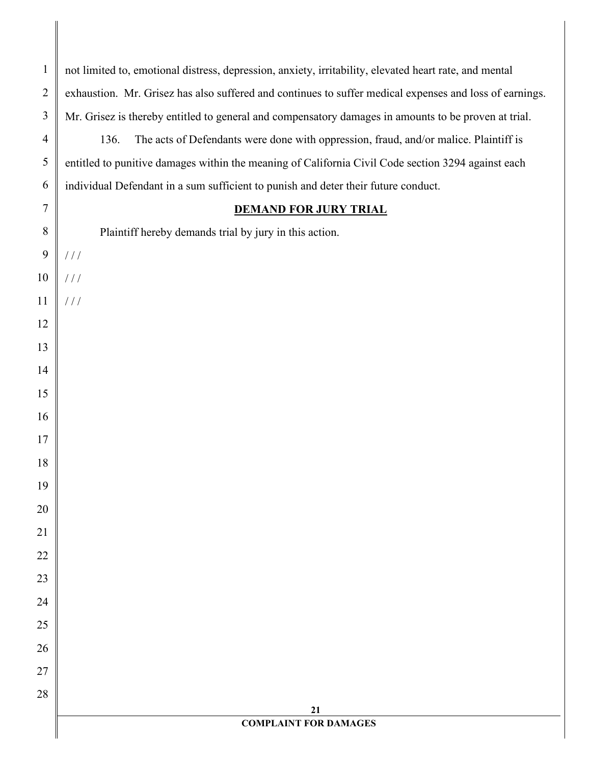**COMPLAINT FOR DAMAGES** not limited to, emotional distress, depression, anxiety, irritability, elevated heart rate, and mental exhaustion. Mr. Grisez has also suffered and continues to suffer medical expenses and loss of earnings. Mr. Grisez is thereby entitled to general and compensatory damages in amounts to be proven at trial. 136. The acts of Defendants were done with oppression, fraud, and/or malice. Plaintiff is entitled to punitive damages within the meaning of California Civil Code section 3294 against each individual Defendant in a sum sufficient to punish and deter their future conduct. **DEMAND FOR JURY TRIAL** Plaintiff hereby demands trial by jury in this action. / / /  $1/1$ / / /